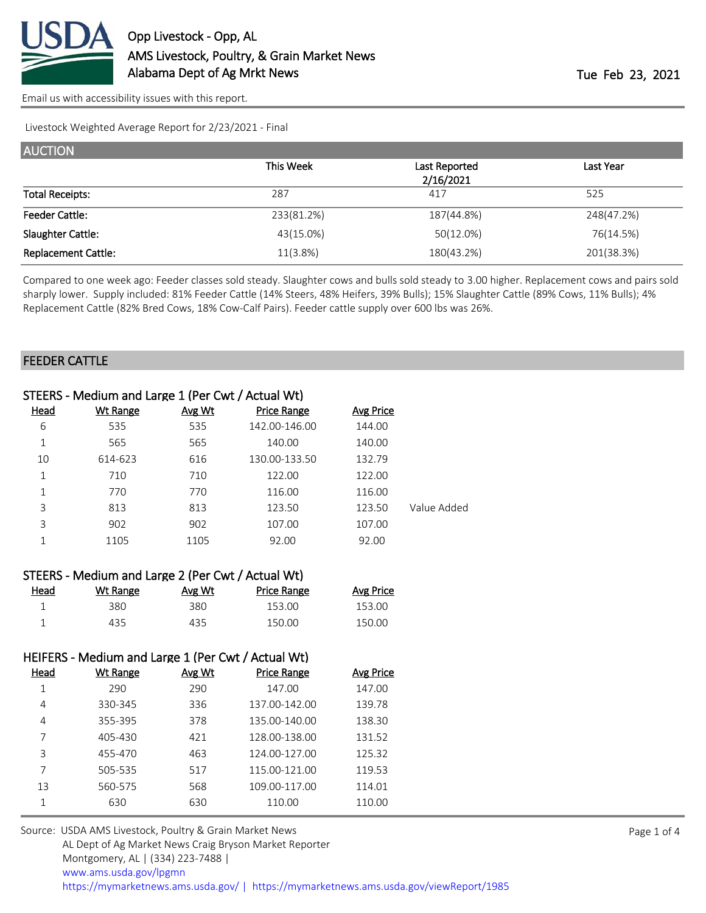

[Email us with accessibility issues with this report.](mailto:mars@ams.usda.gov?subject=508%20issue)

Livestock Weighted Average Report for 2/23/2021 - Final

| <b>AUCTION</b>             |            |               |            |
|----------------------------|------------|---------------|------------|
|                            | This Week  | Last Reported | Last Year  |
|                            |            | 2/16/2021     |            |
| <b>Total Receipts:</b>     | 287        | 417           | 525        |
| <b>Feeder Cattle:</b>      | 233(81.2%) | 187(44.8%)    | 248(47.2%) |
| Slaughter Cattle:          | 43(15.0%)  | 50(12.0%)     | 76(14.5%)  |
| <b>Replacement Cattle:</b> | 11(3.8%)   | 180(43.2%)    | 201(38.3%) |

Compared to one week ago: Feeder classes sold steady. Slaughter cows and bulls sold steady to 3.00 higher. Replacement cows and pairs sold sharply lower. Supply included: 81% Feeder Cattle (14% Steers, 48% Heifers, 39% Bulls); 15% Slaughter Cattle (89% Cows, 11% Bulls); 4% Replacement Cattle (82% Bred Cows, 18% Cow-Calf Pairs). Feeder cattle supply over 600 lbs was 26%.

#### FEEDER CATTLE

|             | STEERS - Medium and Large 1 (Per Cwt / Actual Wt) |        |                    |           |             |
|-------------|---------------------------------------------------|--------|--------------------|-----------|-------------|
| <u>Head</u> | <b>Wt Range</b>                                   | Avg Wt | <b>Price Range</b> | Avg Price |             |
| 6           | 535                                               | 535    | 142.00-146.00      | 144.00    |             |
| 1           | 565                                               | 565    | 140.00             | 140.00    |             |
| 10          | 614-623                                           | 616    | 130.00-133.50      | 132.79    |             |
| 1           | 710                                               | 710    | 122.00             | 122.00    |             |
| 1           | 770                                               | 770    | 116.00             | 116.00    |             |
| 3           | 813                                               | 813    | 123.50             | 123.50    | Value Added |
| 3           | 902                                               | 902    | 107.00             | 107.00    |             |
|             | 1105                                              | 1105   | 92.00              | 92.00     |             |
|             |                                                   |        |                    |           |             |

|      | STEERS - Medium and Large 2 (Per Cwt / Actual Wt) |        |             |                  |
|------|---------------------------------------------------|--------|-------------|------------------|
| Head | Wt Range                                          | Avg Wt | Price Range | <b>Avg Price</b> |
|      | 380.                                              | 380.   | 153.00      | 153.00           |
|      | 435.                                              | 435    | 150.00      | 150.00           |

### HEIFERS - Medium and Large 1 (Per Cwt / Actual Wt)

| Wt Range | Avg Wt | <b>Price Range</b> | Avg Price |
|----------|--------|--------------------|-----------|
| 290      | 290    | 147.00             | 147.00    |
| 330-345  | 336    | 137.00-142.00      | 139.78    |
| 355-395  | 378    | 135.00-140.00      | 138.30    |
| 405-430  | 421    | 128.00-138.00      | 131.52    |
| 455-470  | 463    | 124.00-127.00      | 125.32    |
| 505-535  | 517    | 115.00-121.00      | 119.53    |
| 560-575  | 568    | 109.00-117.00      | 114.01    |
| 630      | 630    | 110.00             | 110.00    |
|          |        |                    |           |

Source: USDA AMS Livestock, Poultry & Grain Market News AL Dept of Ag Market News Craig Bryson Market Reporter Montgomery, AL | (334) 223-7488 | [www.ams.usda.gov/lpgmn](https://www.ams.usda.gov/market-news) <https://mymarketnews.ams.usda.gov/> [|](https://www.ams.usda.gov/market-news) <https://mymarketnews.ams.usda.gov/viewReport/1985>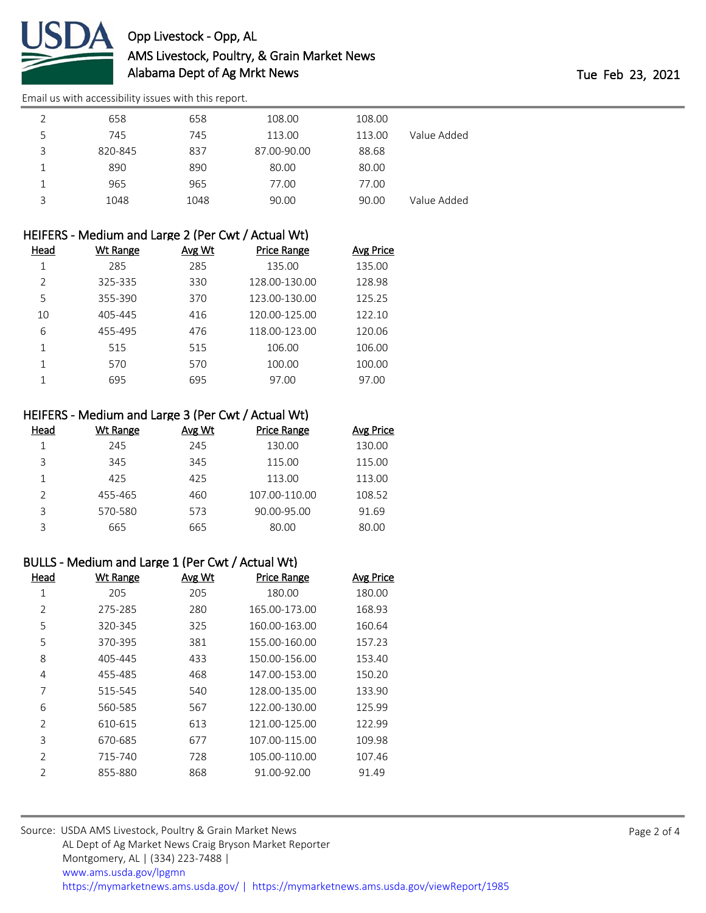

# Opp Livestock - Opp, AL AMS Livestock, Poultry, & Grain Market News Alabama Dept of Ag Mrkt News Tue Feb 23, 2021

[Email us with accessibility issues with this report.](mailto:mars@ams.usda.gov?subject=508%20issue)

|   | 658     | 658  | 108.00      | 108.00 |             |
|---|---------|------|-------------|--------|-------------|
| 5 | 745     | 745  | 113.00      | 113.00 | Value Added |
| 3 | 820-845 | 837  | 87.00-90.00 | 88.68  |             |
|   | 890     | 890  | 80.00       | 80.00  |             |
|   | 965     | 965  | 77.00       | 77.00  |             |
| 3 | 1048    | 1048 | 90.00       | 90.00  | Value Added |

|  | HEIFERS - Medium and Large 2 (Per Cwt / Actual Wt) |  |
|--|----------------------------------------------------|--|
|  |                                                    |  |

| Head          | <b>Wt Range</b> | Avg Wt | Price Range   | <b>Avg Price</b> |
|---------------|-----------------|--------|---------------|------------------|
|               | 285             | 285    | 135.00        | 135.00           |
| $\mathcal{P}$ | 325-335         | 330    | 128.00-130.00 | 128.98           |
| 5             | 355-390         | 370    | 123.00-130.00 | 125.25           |
| 10            | 405-445         | 416    | 120.00-125.00 | 122.10           |
| 6             | 455-495         | 476    | 118.00-123.00 | 120.06           |
|               | 515             | 515    | 106.00        | 106.00           |
|               | 570             | 570    | 100.00        | 100.00           |
|               | 695             | 695    | 97.00         | 97.00            |

# HEIFERS - Medium and Large 3 (Per Cwt / Actual Wt)

| Head          | Wt Range | Avg Wt | <b>Price Range</b> | <b>Avg Price</b> |
|---------------|----------|--------|--------------------|------------------|
|               | 245      | 245    | 130.00             | 130.00           |
| 3             | 345      | 345    | 115.00             | 115.00           |
|               | 425      | 425    | 113.00             | 113.00           |
| $\mathcal{P}$ | 455-465  | 460    | 107.00-110.00      | 108.52           |
| ς             | 570-580  | 573    | 90.00-95.00        | 91.69            |
| っ             | 665      | 665    | 80.00              | 80.00            |

## BULLS - Medium and Large 1 (Per Cwt / Actual Wt)

| Head           | <b>Wt Range</b> | Avg Wt | <b>Price Range</b> | <b>Avg Price</b> |
|----------------|-----------------|--------|--------------------|------------------|
| 1              | 205             | 205    | 180.00             | 180.00           |
| 2              | 275-285         | 280    | 165.00-173.00      | 168.93           |
| 5              | 320-345         | 325    | 160.00-163.00      | 160.64           |
| 5              | 370-395         | 381    | 155.00-160.00      | 157.23           |
| 8              | 405-445         | 433    | 150.00-156.00      | 153.40           |
| 4              | 455-485         | 468    | 147.00-153.00      | 150.20           |
| 7              | 515-545         | 540    | 128.00-135.00      | 133.90           |
| 6              | 560-585         | 567    | 122.00-130.00      | 125.99           |
| $\mathfrak{D}$ | 610-615         | 613    | 121.00-125.00      | 122.99           |
| 3              | 670-685         | 677    | 107.00-115.00      | 109.98           |
| $\mathfrak{D}$ | 715-740         | 728    | 105.00-110.00      | 107.46           |
| $\overline{2}$ | 855-880         | 868    | 91.00-92.00        | 91.49            |

| Source: USDA AMS Livestock, Poultry & Grain Market News                                |  |
|----------------------------------------------------------------------------------------|--|
| AL Dept of Ag Market News Craig Bryson Market Reporter                                 |  |
| Montgomery, AL   (334) 223-7488                                                        |  |
| www.ams.usda.gov/lpgmn                                                                 |  |
| https://mymarketnews.ams.usda.gov/   https://mymarketnews.ams.usda.gov/viewReport/1985 |  |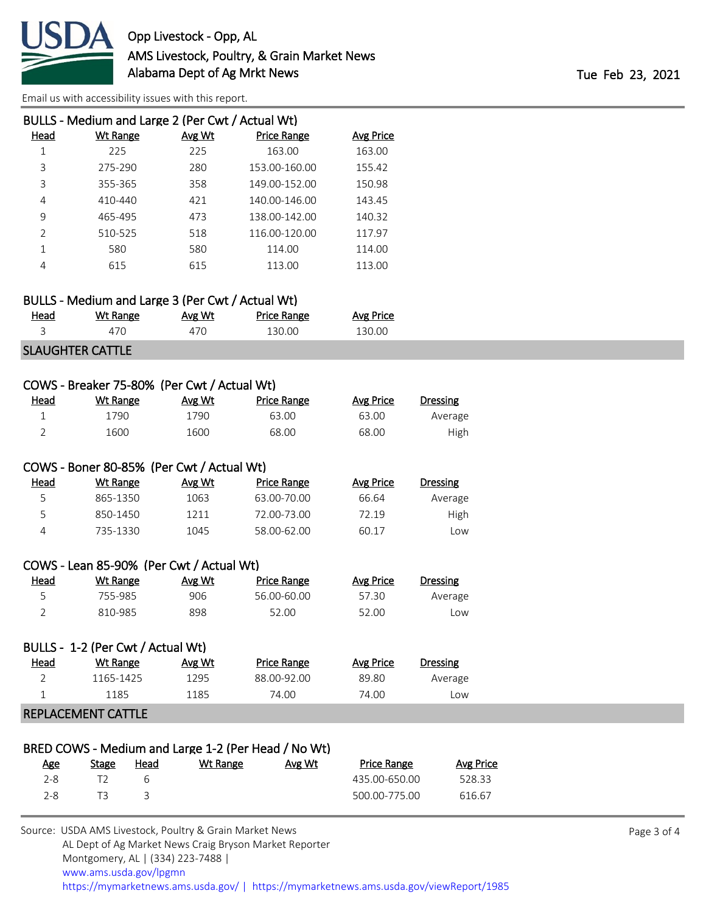

[Email us with accessibility issues with this report.](mailto:mars@ams.usda.gov?subject=508%20issue)

|               | BULLS - Medium and Large 2 (Per Cwt / Actual Wt) |        |                    |                  |
|---------------|--------------------------------------------------|--------|--------------------|------------------|
| Head          | Wt Range                                         | Avg Wt | <b>Price Range</b> | <b>Avg Price</b> |
| 1             | 225                                              | 225    | 163.00             | 163.00           |
| 3             | 275-290                                          | 280    | 153.00-160.00      | 155.42           |
| 3             | 355-365                                          | 358    | 149.00-152.00      | 150.98           |
| 4             | 410-440                                          | 421    | 140.00-146.00      | 143.45           |
| 9             | 465-495                                          | 473    | 138.00-142.00      | 140.32           |
| $\mathcal{P}$ | 510-525                                          | 518    | 116.00-120.00      | 117.97           |
| 1             | 580                                              | 580    | 114.00             | 114.00           |
| 4             | 615                                              | 615    | 113.00             | 113.00           |

|             | BULLS - Medium and Large 3 (Per Cwt / Actual Wt) |        |                    |           |
|-------------|--------------------------------------------------|--------|--------------------|-----------|
| <u>Head</u> | Wt Range                                         | Avg Wt | <b>Price Range</b> | Avg Price |
|             | 470                                              | 470    | 130.00             | 130.00    |
|             | CLALICUTED CATTLE                                |        |                    |           |

#### SLAUGHTER CATTLE

| COWS - Breaker 75-80% (Per Cwt / Actual Wt) |                 |        |                                                     |                  |                 |  |  |  |  |
|---------------------------------------------|-----------------|--------|-----------------------------------------------------|------------------|-----------------|--|--|--|--|
| Head                                        | <b>Wt Range</b> | Avg Wt | <b>Price Range</b>                                  | <b>Avg Price</b> | <b>Dressing</b> |  |  |  |  |
| $\mathbf 1$                                 | 1790            | 1790   | 63.00                                               | 63.00            | Average         |  |  |  |  |
| $\overline{2}$                              | 1600            | 1600   | 68.00                                               | 68.00            | High            |  |  |  |  |
| COWS - Boner 80-85% (Per Cwt / Actual Wt)   |                 |        |                                                     |                  |                 |  |  |  |  |
| <u>Head</u>                                 | <b>Wt Range</b> | Avg Wt | Price Range                                         | <b>Avg Price</b> | <b>Dressing</b> |  |  |  |  |
| 5                                           | 865-1350        | 1063   | 63.00-70.00                                         | 66.64            | Average         |  |  |  |  |
| 5                                           | 850-1450        | 1211   | 72.00-73.00                                         | 72.19            | High            |  |  |  |  |
| 4                                           | 735-1330        | 1045   | 58.00-62.00                                         | 60.17            | Low             |  |  |  |  |
| COWS - Lean 85-90% (Per Cwt / Actual Wt)    |                 |        |                                                     |                  |                 |  |  |  |  |
| Head                                        | <b>Wt Range</b> | Avg Wt | Price Range                                         | <b>Avg Price</b> | <b>Dressing</b> |  |  |  |  |
| 5                                           | 755-985         | 906    | 56.00-60.00                                         | 57.30            | Average         |  |  |  |  |
| $\overline{2}$                              | 810-985         | 898    | 52.00                                               | 52.00            | Low             |  |  |  |  |
| BULLS - 1-2 (Per Cwt / Actual Wt)           |                 |        |                                                     |                  |                 |  |  |  |  |
| <u>Head</u>                                 | <b>Wt Range</b> | Avg Wt | <b>Price Range</b>                                  | <b>Avg Price</b> | <b>Dressing</b> |  |  |  |  |
| 2                                           | 1165-1425       | 1295   | 88.00-92.00                                         | 89.80            | Average         |  |  |  |  |
| $\mathbf 1$                                 | 1185            | 1185   | 74.00                                               | 74.00            | Low             |  |  |  |  |
| <b>REPLACEMENT CATTLE</b>                   |                 |        |                                                     |                  |                 |  |  |  |  |
|                                             |                 |        |                                                     |                  |                 |  |  |  |  |
|                                             |                 |        | BRED COWS - Medium and Large 1-2 (Per Head / No Wt) |                  |                 |  |  |  |  |

|                                           |          | $D$ NLD COWS - IVICUMITI GHU LAIRC 1-2 (I CL HCAU / INO WU) |              |      |
|-------------------------------------------|----------|-------------------------------------------------------------|--------------|------|
| <b>Price Range</b><br>Avg Price<br>Avg Wt | Wt Range | Head                                                        | <b>Stage</b> | Age  |
| 528.33<br>435.00-650.00                   |          |                                                             |              | 2-8  |
| 500.00-775.00<br>616.67                   |          |                                                             |              | 2-8. |
|                                           |          |                                                             |              |      |